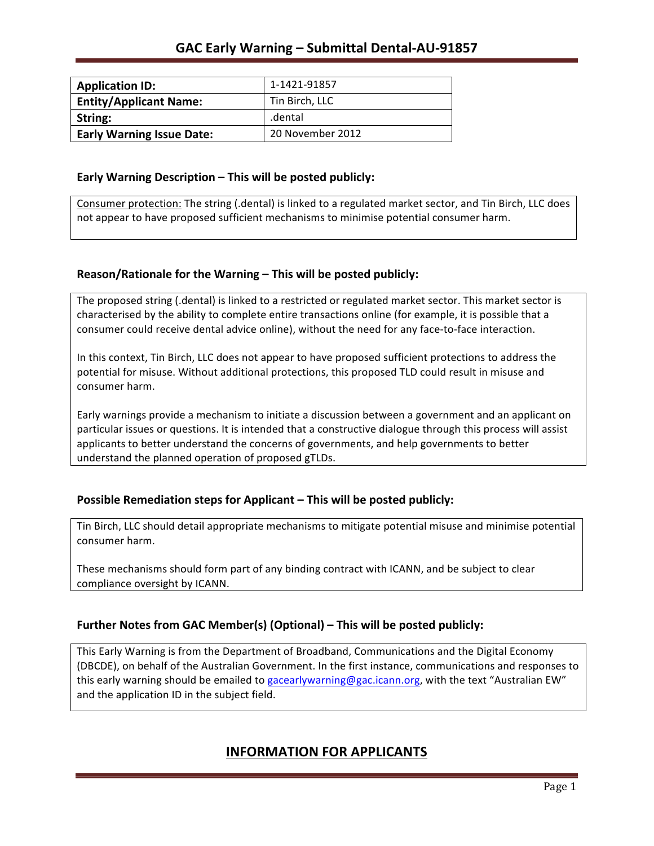| <b>Application ID:</b>           | 1-1421-91857     |
|----------------------------------|------------------|
| <b>Entity/Applicant Name:</b>    | Tin Birch, LLC   |
| String:                          | .dental          |
| <b>Early Warning Issue Date:</b> | 20 November 2012 |

### **Early Warning Description – This will be posted publicly:**

Consumer protection: The string (.dental) is linked to a regulated market sector, and Tin Birch, LLC does not appear to have proposed sufficient mechanisms to minimise potential consumer harm.

### **Reason/Rationale for the Warning – This will be posted publicly:**

The proposed string (.dental) is linked to a restricted or regulated market sector. This market sector is characterised by the ability to complete entire transactions online (for example, it is possible that a consumer could receive dental advice online), without the need for any face-to-face interaction.

In this context, Tin Birch, LLC does not appear to have proposed sufficient protections to address the potential for misuse. Without additional protections, this proposed TLD could result in misuse and consumer harm.

Early warnings provide a mechanism to initiate a discussion between a government and an applicant on particular issues or questions. It is intended that a constructive dialogue through this process will assist applicants to better understand the concerns of governments, and help governments to better understand the planned operation of proposed gTLDs.

### **Possible Remediation steps for Applicant – This will be posted publicly:**

Tin Birch, LLC should detail appropriate mechanisms to mitigate potential misuse and minimise potential consumer harm.

These mechanisms should form part of any binding contract with ICANN, and be subject to clear compliance oversight by ICANN.

### **Further Notes from GAC Member(s) (Optional)** – This will be posted publicly:

This Early Warning is from the Department of Broadband, Communications and the Digital Economy (DBCDE), on behalf of the Australian Government. In the first instance, communications and responses to this early warning should be emailed to gacearlywarning@gac.icann.org, with the text "Australian EW" and the application ID in the subject field.

## **INFORMATION FOR APPLICANTS**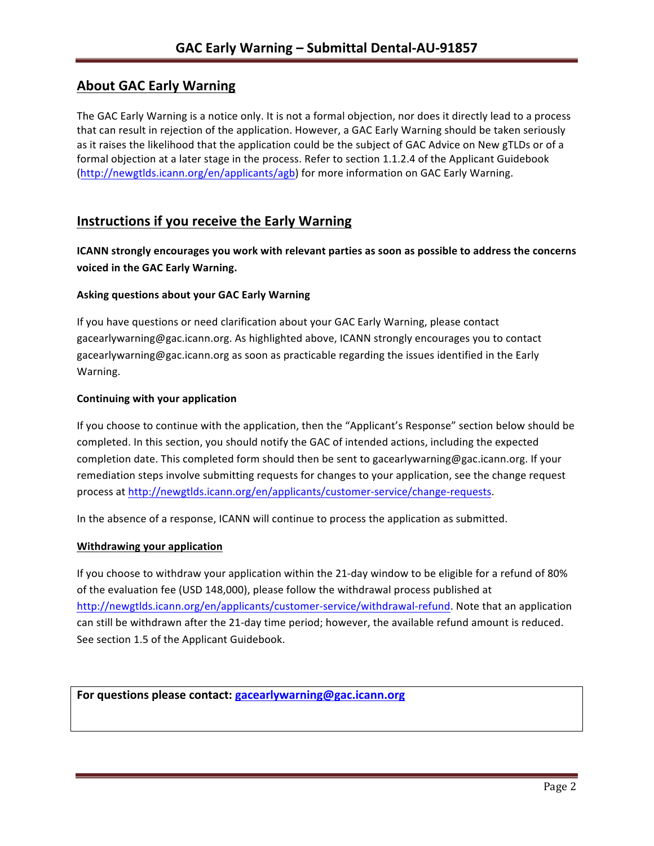# **About GAC Early Warning**

The GAC Early Warning is a notice only. It is not a formal objection, nor does it directly lead to a process that can result in rejection of the application. However, a GAC Early Warning should be taken seriously as it raises the likelihood that the application could be the subject of GAC Advice on New gTLDs or of a formal objection at a later stage in the process. Refer to section 1.1.2.4 of the Applicant Guidebook (http://newgtlds.icann.org/en/applicants/agb) for more information on GAC Early Warning.

# **Instructions if you receive the Early Warning**

**ICANN** strongly encourages you work with relevant parties as soon as possible to address the concerns **voiced in the GAC Early Warning.** 

### **Asking questions about your GAC Early Warning**

If you have questions or need clarification about your GAC Early Warning, please contact gacearlywarning@gac.icann.org. As highlighted above, ICANN strongly encourages you to contact gacearlywarning@gac.icann.org as soon as practicable regarding the issues identified in the Early Warning. 

### **Continuing with your application**

If you choose to continue with the application, then the "Applicant's Response" section below should be completed. In this section, you should notify the GAC of intended actions, including the expected completion date. This completed form should then be sent to gacearlywarning@gac.icann.org. If your remediation steps involve submitting requests for changes to your application, see the change request process at http://newgtlds.icann.org/en/applicants/customer-service/change-requests.

In the absence of a response, ICANN will continue to process the application as submitted.

### **Withdrawing your application**

If you choose to withdraw your application within the 21-day window to be eligible for a refund of 80% of the evaluation fee (USD 148,000), please follow the withdrawal process published at http://newgtlds.icann.org/en/applicants/customer-service/withdrawal-refund. Note that an application can still be withdrawn after the 21-day time period; however, the available refund amount is reduced. See section 1.5 of the Applicant Guidebook.

```
For questions please contact: gacearlywarning@gac.icann.org
```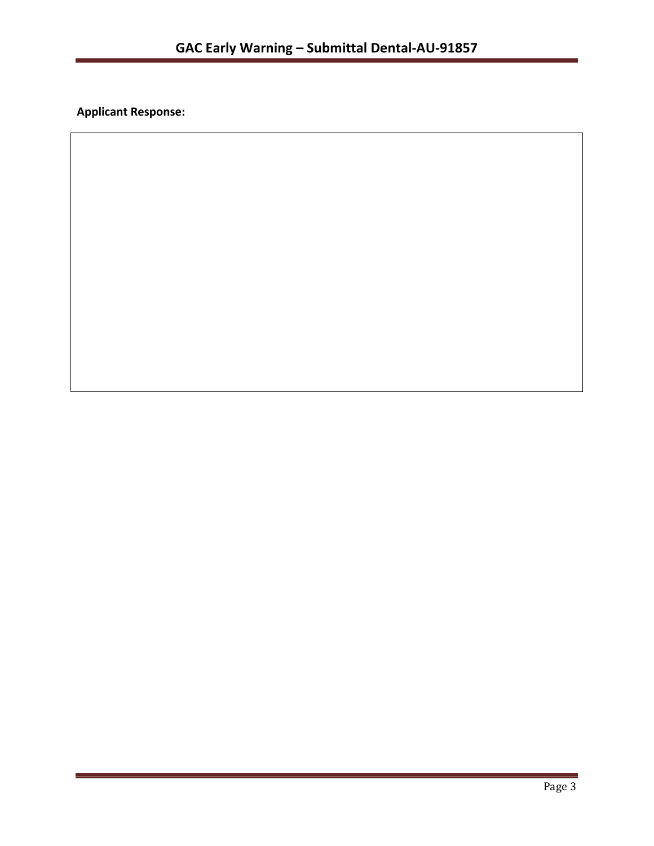**Applicant Response:**